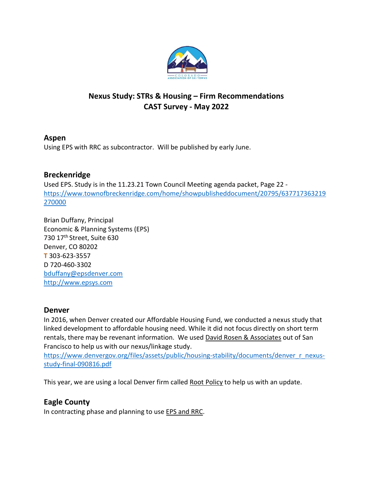

# Nexus Study: STRs & Housing – Firm Recommendations CAST Survey - May 2022

## Aspen

Using EPS with RRC as subcontractor. Will be published by early June.

## Breckenridge

Used EPS. Study is in the 11.23.21 Town Council Meeting agenda packet, Page 22 https://www.townofbreckenridge.com/home/showpublisheddocument/20795/637717363219 270000

Brian Duffany, Principal Economic & Planning Systems (EPS) 730 17th Street, Suite 630 Denver, CO 80202 T 303-623-3557 D 720-460-3302 bduffany@epsdenver.com http://www.epsys.com

### Denver

In 2016, when Denver created our Affordable Housing Fund, we conducted a nexus study that linked development to affordable housing need. While it did not focus directly on short term rentals, there may be revenant information. We used David Rosen & Associates out of San Francisco to help us with our nexus/linkage study.

https://www.denvergov.org/files/assets/public/housing-stability/documents/denver\_r\_nexusstudy-final-090816.pdf

This year, we are using a local Denver firm called Root Policy to help us with an update.

## Eagle County

In contracting phase and planning to use EPS and RRC.